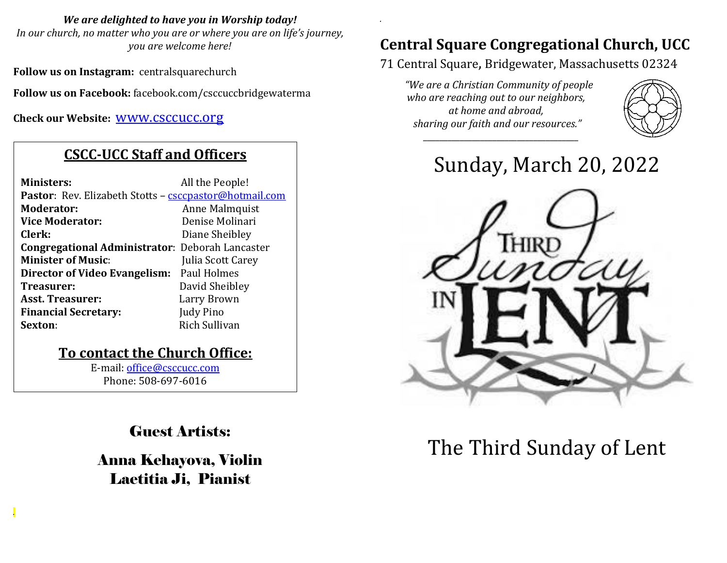*We are delighted to have you in Worship today!*

*In our church, no matter who you are or where you are on life's journey, you are welcome here!*

**Follow us on Instagram:** centralsquarechurch

**Follow us on Facebook:** facebook.com/csccuccbridgewaterma

**Check our Website:** [www.csccucc.org](about:blank)

### **CSCC-UCC Staff and Officers**

| <b>Ministers:</b>                                                     | All the People!   |
|-----------------------------------------------------------------------|-------------------|
| <b>Pastor</b> : Rev. Elizabeth Stotts - <b>csccpastor@hotmail.com</b> |                   |
| Moderator:                                                            | Anne Malmquist    |
| <b>Vice Moderator:</b>                                                | Denise Molinari   |
| Clerk:                                                                | Diane Sheibley    |
| <b>Congregational Administrator: Deborah Lancaster</b>                |                   |
| <b>Minister of Music:</b>                                             | Julia Scott Carey |
| Director of Video Evangelism: Paul Holmes                             |                   |
| Treasurer:                                                            | David Sheibley    |
| <b>Asst. Treasurer:</b>                                               | Larry Brown       |
| <b>Financial Secretary:</b>                                           | Judy Pino         |
| Sexton:                                                               | Rich Sullivan     |
|                                                                       |                   |

#### **To contact the Church Office:**

E-mail: [office@csccucc.com](mailto:office@csccucc.com) Phone: 508-697-6016

*.*

Guest Artists:

Anna Kehayova, Violin Laetitia Ji, Pianist

## **Central Square Congregational Church, UCC**

71 Central Square, Bridgewater, Massachusetts 02324

*"We are a Christian Community of people who are reaching out to our neighbors, at home and abroad, sharing our faith and our resources." \_\_\_\_\_\_\_\_\_\_\_\_\_\_\_\_\_\_\_\_\_\_\_\_\_\_\_\_\_\_\_\_\_\_\_\_\_\_*

*.*



# Sunday, March 20, 2022



# The Third Sunday of Lent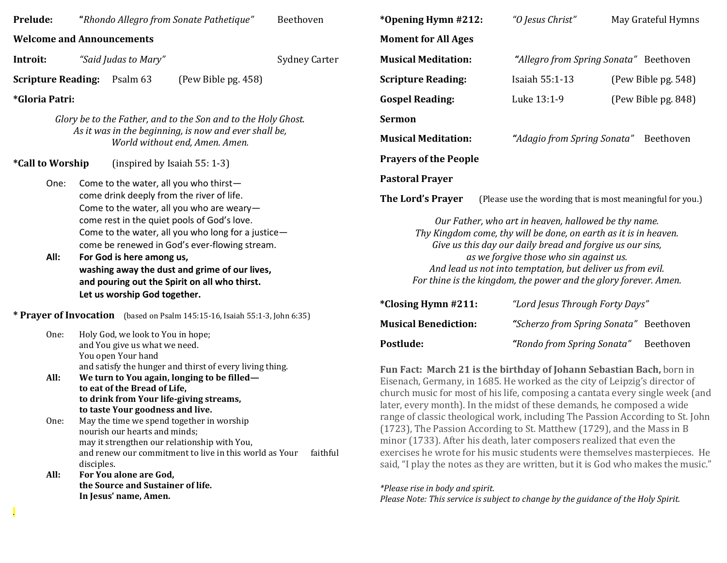| Prelude:                                                                                                                                                 |                                                                                                                                                                                                                                                                                                                   |                                                                                                                                                                                                                                                                                                                                                                                                                                                                                                                                                                                                                                                                                                                                                                                                                                                                                                                                                                                                                                                                | "Rhondo Allegro from Sonate Pathetique" | Beethoven                                                                                                                                                                                                                                                                                                                                                          | *Opening Hymn #212:                                                                                                                                                                                        | "O Jesus Christ"           | May Grateful Hymns  |  |  |
|----------------------------------------------------------------------------------------------------------------------------------------------------------|-------------------------------------------------------------------------------------------------------------------------------------------------------------------------------------------------------------------------------------------------------------------------------------------------------------------|----------------------------------------------------------------------------------------------------------------------------------------------------------------------------------------------------------------------------------------------------------------------------------------------------------------------------------------------------------------------------------------------------------------------------------------------------------------------------------------------------------------------------------------------------------------------------------------------------------------------------------------------------------------------------------------------------------------------------------------------------------------------------------------------------------------------------------------------------------------------------------------------------------------------------------------------------------------------------------------------------------------------------------------------------------------|-----------------------------------------|--------------------------------------------------------------------------------------------------------------------------------------------------------------------------------------------------------------------------------------------------------------------------------------------------------------------------------------------------------------------|------------------------------------------------------------------------------------------------------------------------------------------------------------------------------------------------------------|----------------------------|---------------------|--|--|
| <b>Welcome and Announcements</b>                                                                                                                         |                                                                                                                                                                                                                                                                                                                   |                                                                                                                                                                                                                                                                                                                                                                                                                                                                                                                                                                                                                                                                                                                                                                                                                                                                                                                                                                                                                                                                |                                         |                                                                                                                                                                                                                                                                                                                                                                    | <b>Moment for All Ages</b>                                                                                                                                                                                 |                            |                     |  |  |
| Introit:                                                                                                                                                 | "Said Judas to Mary"                                                                                                                                                                                                                                                                                              |                                                                                                                                                                                                                                                                                                                                                                                                                                                                                                                                                                                                                                                                                                                                                                                                                                                                                                                                                                                                                                                                | <b>Sydney Carter</b>                    | <b>Musical Meditation:</b>                                                                                                                                                                                                                                                                                                                                         | "Allegro from Spring Sonata" Beethoven                                                                                                                                                                     |                            |                     |  |  |
| <b>Scripture Reading:</b>                                                                                                                                |                                                                                                                                                                                                                                                                                                                   | Psalm 63                                                                                                                                                                                                                                                                                                                                                                                                                                                                                                                                                                                                                                                                                                                                                                                                                                                                                                                                                                                                                                                       | (Pew Bible pg. 458)                     |                                                                                                                                                                                                                                                                                                                                                                    | <b>Scripture Reading:</b>                                                                                                                                                                                  | Isaiah 55:1-13             | (Pew Bible pg. 548) |  |  |
| <i>*Gloria Patri:</i>                                                                                                                                    |                                                                                                                                                                                                                                                                                                                   |                                                                                                                                                                                                                                                                                                                                                                                                                                                                                                                                                                                                                                                                                                                                                                                                                                                                                                                                                                                                                                                                |                                         | <b>Gospel Reading:</b>                                                                                                                                                                                                                                                                                                                                             | Luke 13:1-9                                                                                                                                                                                                | (Pew Bible pg. 848)        |                     |  |  |
| Glory be to the Father, and to the Son and to the Holy Ghost.<br>As it was in the beginning, is now and ever shall be,<br>World without end, Amen. Amen. |                                                                                                                                                                                                                                                                                                                   |                                                                                                                                                                                                                                                                                                                                                                                                                                                                                                                                                                                                                                                                                                                                                                                                                                                                                                                                                                                                                                                                |                                         | <b>Sermon</b>                                                                                                                                                                                                                                                                                                                                                      |                                                                                                                                                                                                            |                            |                     |  |  |
|                                                                                                                                                          |                                                                                                                                                                                                                                                                                                                   |                                                                                                                                                                                                                                                                                                                                                                                                                                                                                                                                                                                                                                                                                                                                                                                                                                                                                                                                                                                                                                                                |                                         | <b>Musical Meditation:</b>                                                                                                                                                                                                                                                                                                                                         | "Adagio from Spring Sonata"<br>Beethoven                                                                                                                                                                   |                            |                     |  |  |
| <i><b>*Call to Worship</b></i><br>(inspired by Isaiah 55: 1-3)                                                                                           |                                                                                                                                                                                                                                                                                                                   |                                                                                                                                                                                                                                                                                                                                                                                                                                                                                                                                                                                                                                                                                                                                                                                                                                                                                                                                                                                                                                                                |                                         | <b>Prayers of the People</b>                                                                                                                                                                                                                                                                                                                                       |                                                                                                                                                                                                            |                            |                     |  |  |
| One:<br>Come to the water, all you who thirst-                                                                                                           |                                                                                                                                                                                                                                                                                                                   |                                                                                                                                                                                                                                                                                                                                                                                                                                                                                                                                                                                                                                                                                                                                                                                                                                                                                                                                                                                                                                                                |                                         |                                                                                                                                                                                                                                                                                                                                                                    | <b>Pastoral Prayer</b>                                                                                                                                                                                     |                            |                     |  |  |
| come drink deeply from the river of life.<br>Come to the water, all you who are weary-                                                                   |                                                                                                                                                                                                                                                                                                                   |                                                                                                                                                                                                                                                                                                                                                                                                                                                                                                                                                                                                                                                                                                                                                                                                                                                                                                                                                                                                                                                                |                                         |                                                                                                                                                                                                                                                                                                                                                                    | The Lord's Prayer<br>(Please use the wording that is most meaningful for you.)                                                                                                                             |                            |                     |  |  |
| All:                                                                                                                                                     | come rest in the quiet pools of God's love.<br>Come to the water, all you who long for a justice-<br>come be renewed in God's ever-flowing stream.<br>For God is here among us,<br>washing away the dust and grime of our lives,<br>and pouring out the Spirit on all who thirst.<br>Let us worship God together. |                                                                                                                                                                                                                                                                                                                                                                                                                                                                                                                                                                                                                                                                                                                                                                                                                                                                                                                                                                                                                                                                |                                         | Our Father, who art in heaven, hallowed be thy name.<br>Thy Kingdom come, thy will be done, on earth as it is in heaven.<br>Give us this day our daily bread and forgive us our sins,<br>as we forgive those who sin against us.<br>And lead us not into temptation, but deliver us from evil.<br>For thine is the kingdom, the power and the glory forever. Amen. |                                                                                                                                                                                                            |                            |                     |  |  |
|                                                                                                                                                          |                                                                                                                                                                                                                                                                                                                   |                                                                                                                                                                                                                                                                                                                                                                                                                                                                                                                                                                                                                                                                                                                                                                                                                                                                                                                                                                                                                                                                | *Closing Hymn #211:                     | "Lord Jesus Through Forty Days"                                                                                                                                                                                                                                                                                                                                    |                                                                                                                                                                                                            |                            |                     |  |  |
| * Prayer of Invocation (based on Psalm 145:15-16, Isaiah 55:1-3, John 6:35)<br>Holy God, we look to You in hope;                                         |                                                                                                                                                                                                                                                                                                                   |                                                                                                                                                                                                                                                                                                                                                                                                                                                                                                                                                                                                                                                                                                                                                                                                                                                                                                                                                                                                                                                                | <b>Musical Benediction:</b>             | "Scherzo from Spring Sonata" Beethoven                                                                                                                                                                                                                                                                                                                             |                                                                                                                                                                                                            |                            |                     |  |  |
| One:                                                                                                                                                     |                                                                                                                                                                                                                                                                                                                   | and You give us what we need.<br>You open Your hand                                                                                                                                                                                                                                                                                                                                                                                                                                                                                                                                                                                                                                                                                                                                                                                                                                                                                                                                                                                                            |                                         |                                                                                                                                                                                                                                                                                                                                                                    | Postlude:                                                                                                                                                                                                  | "Rondo from Spring Sonata" | Beethoven           |  |  |
| All:<br>One:                                                                                                                                             |                                                                                                                                                                                                                                                                                                                   | and satisfy the hunger and thirst of every living thing.<br>Fun Fact: March 21 is the birthday of Johann Sebastian Bach, born in<br>We turn to You again, longing to be filled-<br>Eisenach, Germany, in 1685. He worked as the city of Leipzig's director of<br>to eat of the Bread of Life,<br>church music for most of his life, composing a cantata every single week (and<br>to drink from Your life-giving streams,<br>later, every month). In the midst of these demands, he composed a wide<br>to taste Your goodness and live.<br>range of classic theological work, including The Passion According to St. John<br>May the time we spend together in worship<br>(1723), The Passion According to St. Matthew (1729), and the Mass in B<br>nourish our hearts and minds;<br>minor (1733). After his death, later composers realized that even the<br>may it strengthen our relationship with You,<br>exercises he wrote for his music students were themselves masterpieces. He<br>and renew our commitment to live in this world as Your<br>faithful |                                         |                                                                                                                                                                                                                                                                                                                                                                    |                                                                                                                                                                                                            |                            |                     |  |  |
| All:                                                                                                                                                     | disciples.                                                                                                                                                                                                                                                                                                        | For You alone are God,<br>the Source and Sustainer of life.<br>In Jesus' name, Amen.                                                                                                                                                                                                                                                                                                                                                                                                                                                                                                                                                                                                                                                                                                                                                                                                                                                                                                                                                                           |                                         |                                                                                                                                                                                                                                                                                                                                                                    | said, "I play the notes as they are written, but it is God who makes the music."<br>*Please rise in body and spirit.<br>Please Note: This service is subject to change by the guidance of the Holy Spirit. |                            |                     |  |  |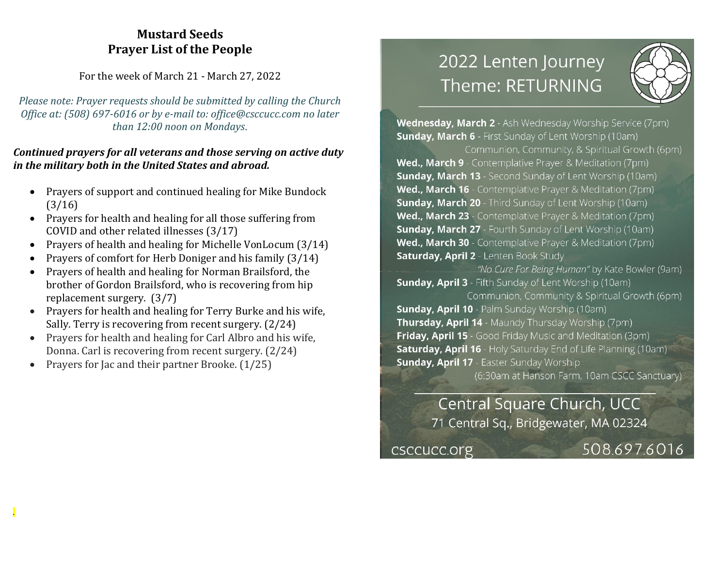#### **Mustard Seeds Prayer List of the People**

For the week of March 21 - March 27, 2022

*Please note: Prayer requests should be submitted by calling the Church Office at: (508) 697-6016 or by e-mail to: office@csccucc.com no later than 12:00 noon on Mondays.*

#### *Continued prayers for all veterans and those serving on active duty in the military both in the United States and abroad.*

- Prayers of support and continued healing for Mike Bundock (3/16)
- Prayers for health and healing for all those suffering from COVID and other related illnesses (3/17)
- Prayers of health and healing for Michelle VonLocum (3/14)
- Prayers of comfort for Herb Doniger and his family (3/14)
- Prayers of health and healing for Norman Brailsford, the brother of Gordon Brailsford, who is recovering from hip replacement surgery. (3/7)
- Prayers for health and healing for Terry Burke and his wife, Sally. Terry is recovering from recent surgery. (2/24)
- Prayers for health and healing for Carl Albro and his wife, Donna. Carl is recovering from recent surgery. (2/24)
- Prayers for Jac and their partner Brooke. (1/25)

*.*

# 2022 Lenten Journey Theme: RETURNING



Wednesday, March 2 - Ash Wednesday Worship Service (7pm) **Sunday, March 6** - First Sunday of Lent Worship (10am)

Communion, Community, & Spiritual Growth (6pm) Wed., March 9 - Contemplative Prayer & Meditation (7pm) **Sunday, March 13** - Second Sunday of Lent Worship (10am) Wed., March 16 - Contemplative Prayer & Meditation (7pm) **Sunday, March 20** - Third Sunday of Lent Worship (10am) Wed., March 23 - Contemplative Prayer & Meditation (7pm) **Sunday, March 27** - Fourth Sunday of Lent Worship (10am) Wed., March 30 - Contemplative Prayer & Meditation (7pm) **Saturday, April 2** - Lenten Book Study

"No Cure For Being Human" by Kate Bowler (9am) **Sunday, April 3** - Fifth Sunday of Lent Worship (10am)

Communion, Community & Spiritual Growth (6pm) **Sunday, April 10** - Palm Sunday Worship (10am) Thursday, April 14 - Maundy Thursday Worship (7pm) Friday, April 15 - Good Friday Music and Meditation (3pm) **Saturday, April 16** - Holy Saturday End of Life Planning (10am) **Sunday, April 17 - Easter Sunday Worship** 

(6:30am at Hanson Farm, 10am CSCC Sanctuary)

Central Square Church, UCC 71 Central Sq., Bridgewater, MA 02324

csccucc.org

508.697.6016